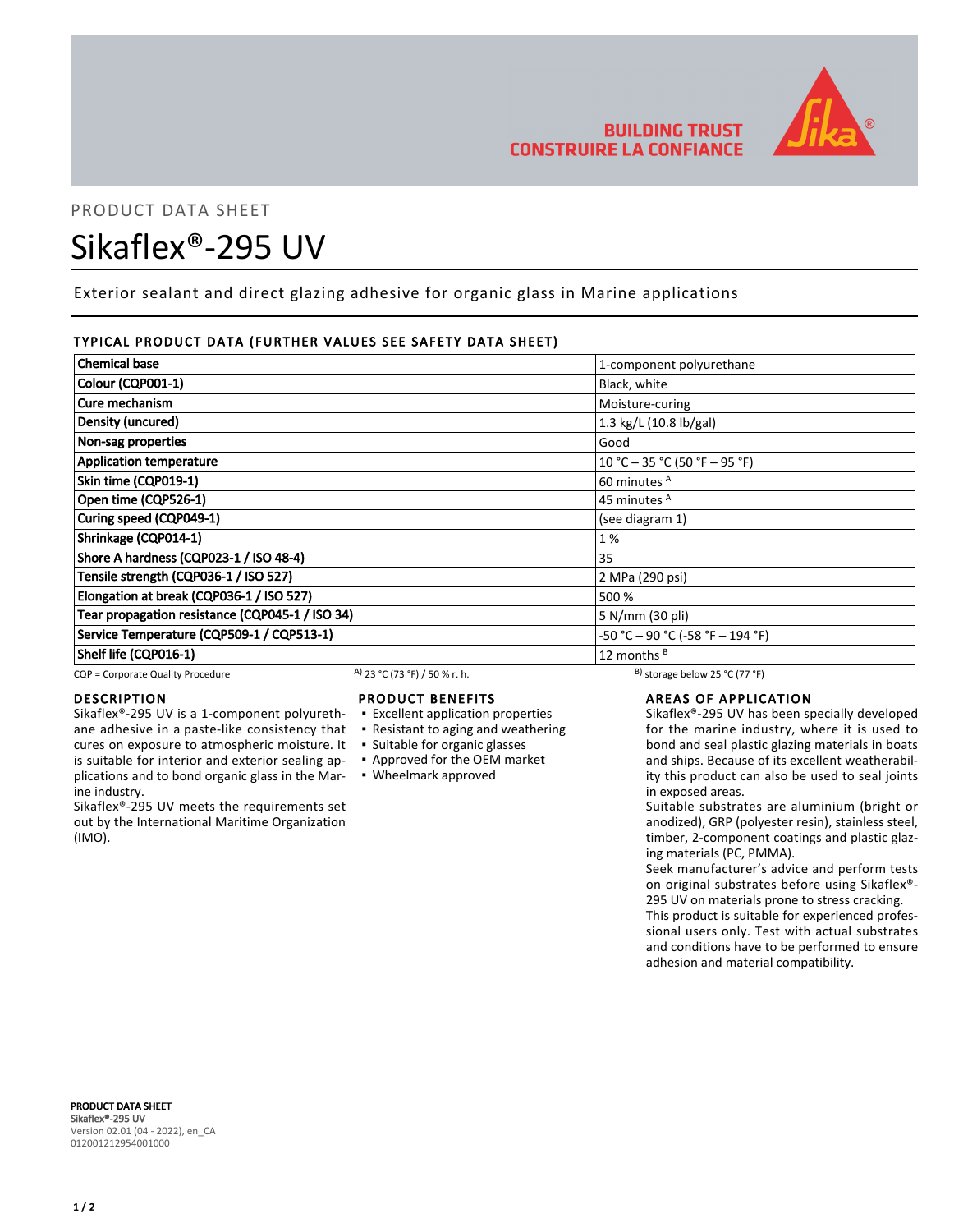

# PRODUCT DATA SHEET

# Sikaflex®-295 UV

Exterior sealant and direct glazing adhesive for organic glass in Marine applications

### TYPICAL PRODUCT DATA (FURTHER VALUES SEE SAFETY DATA SHEET)

| <b>Chemical base</b>                            | 1-component polyurethane           |
|-------------------------------------------------|------------------------------------|
| Colour (CQP001-1)                               | Black, white                       |
| Cure mechanism                                  | Moisture-curing                    |
| Density (uncured)                               | 1.3 kg/L (10.8 lb/gal)             |
| Non-sag properties                              | Good                               |
| <b>Application temperature</b>                  | 10 °C - 35 °C (50 °F - 95 °F)      |
| Skin time (CQP019-1)                            | 60 minutes <sup>A</sup>            |
| Open time (CQP526-1)                            | 45 minutes <sup>A</sup>            |
| Curing speed (CQP049-1)                         | (see diagram 1)                    |
| Shrinkage (CQP014-1)                            | 1%                                 |
| Shore A hardness (CQP023-1 / ISO 48-4)          | 35                                 |
| Tensile strength (CQP036-1 / ISO 527)           | 2 MPa (290 psi)                    |
| Elongation at break (CQP036-1 / ISO 527)        | 500 %                              |
| Tear propagation resistance (CQP045-1 / ISO 34) | 5 N/mm (30 pli)                    |
| Service Temperature (CQP509-1 / CQP513-1)       | $-50 °C - 90 °C (-58 °F - 194 °F)$ |
| Shelf life (CQP016-1)                           | 12 months $B$                      |

CQP = Corporate Quality Procedure A)  $23$  °C (73 °F) / 50 % r. h. B) storage below 25 °C (77 °F)

#### DESCRIPTION

Sikaflex®-295 UV is a 1-component polyurethane adhesive in a paste-like consistency that cures on exposure to atmospheric moisture. It is suitable for interior and exterior sealing applications and to bond organic glass in the Marine industry.

Sikaflex®-295 UV meets the requirements set out by the International Maritime Organization (IMO).

#### PRODUCT BENEFITS

- **Excellent application properties**
- Resistant to aging and weathering
- Suitable for organic glasses
- Approved for the OEM market
- Wheelmark approved

### AREAS OF APPLICATION

Sikaflex®-295 UV has been specially developed for the marine industry, where it is used to bond and seal plastic glazing materials in boats and ships. Because of its excellent weatherability this product can also be used to seal joints in exposed areas.

Suitable substrates are aluminium (bright or anodized), GRP (polyester resin), stainless steel, timber, 2-component coatings and plastic glazing materials (PC, PMMA).

Seek manufacturer's advice and perform tests on original substrates before using Sikaflex®- 295 UV on materials prone to stress cracking.

This product is suitable for experienced professional users only. Test with actual substrates and conditions have to be performed to ensure adhesion and material compatibility.

PRODUCT DATA SHEET Sikaflex®-295 UV Version 02.01 (04 - 2022), en\_CA 012001212954001000